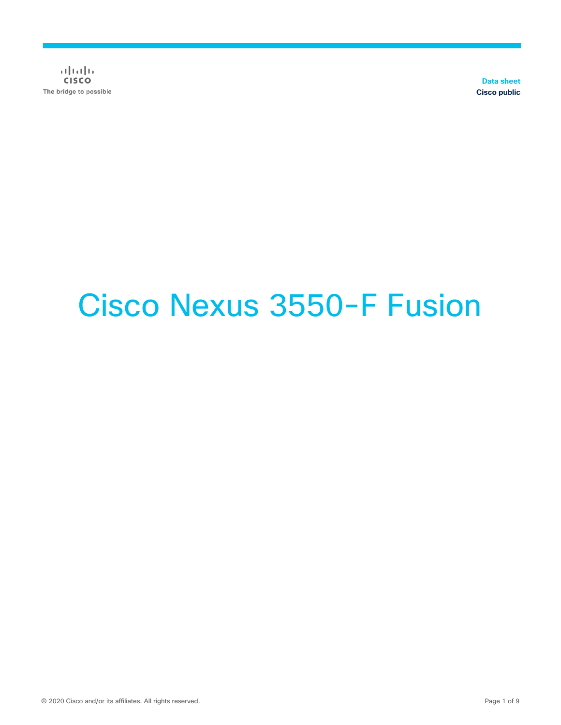$\frac{1}{2}$ The bridge to possible

**Data sheet Cisco public**

# Cisco Nexus 3550-F Fusion

© 2020 Cisco and/or its affiliates. All rights reserved. Page 1 of 9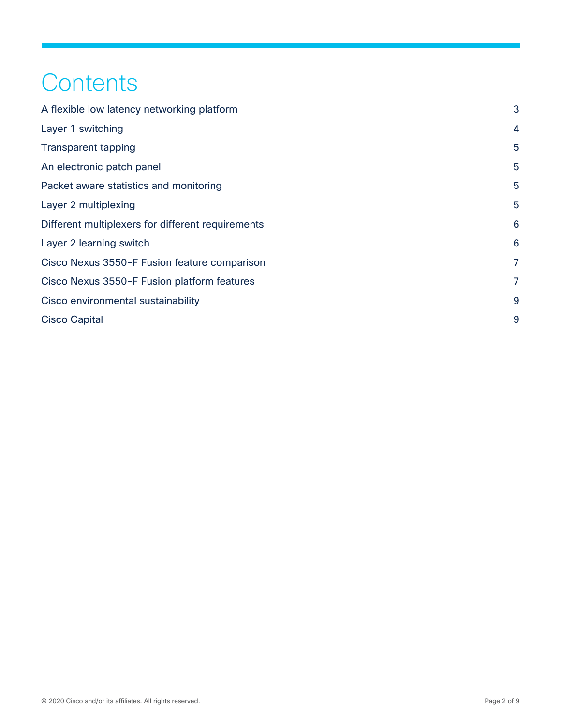## **Contents**

| A flexible low latency networking platform        | 3              |
|---------------------------------------------------|----------------|
| Layer 1 switching                                 | $\overline{4}$ |
| <b>Transparent tapping</b>                        | 5              |
| An electronic patch panel                         | 5              |
| Packet aware statistics and monitoring            | 5              |
| Layer 2 multiplexing                              | 5              |
| Different multiplexers for different requirements | 6              |
| Layer 2 learning switch                           | 6              |
| Cisco Nexus 3550-F Fusion feature comparison      | 7              |
| Cisco Nexus 3550-F Fusion platform features       | 7              |
| Cisco environmental sustainability                | 9              |
| <b>Cisco Capital</b>                              | 9              |
|                                                   |                |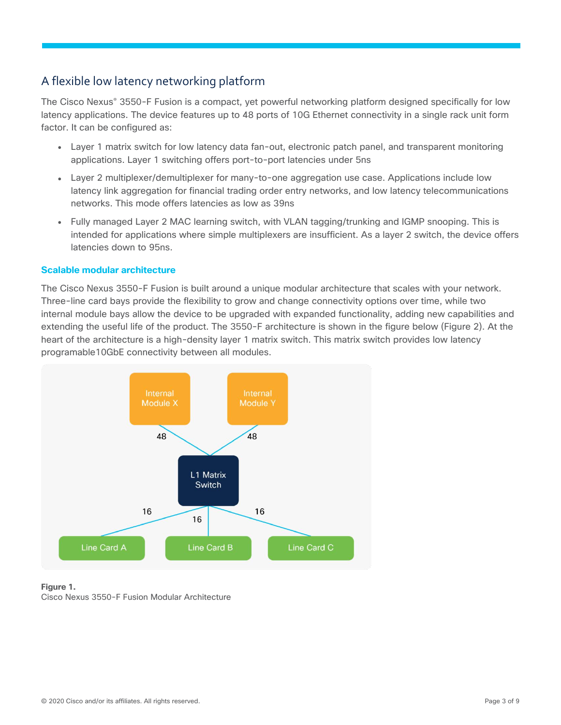## <span id="page-2-0"></span>A flexible low latency networking platform

The Cisco Nexus® 3550-F Fusion is a compact, yet powerful networking platform designed specifically for low latency applications. The device features up to 48 ports of 10G Ethernet connectivity in a single rack unit form factor. It can be configured as:

- Layer 1 matrix switch for low latency data fan-out, electronic patch panel, and transparent monitoring applications. Layer 1 switching offers port-to-port latencies under 5ns
- Layer 2 multiplexer/demultiplexer for many-to-one aggregation use case. Applications include low latency link aggregation for financial trading order entry networks, and low latency telecommunications networks. This mode offers latencies as low as 39ns
- Fully managed Layer 2 MAC learning switch, with VLAN tagging/trunking and IGMP snooping. This is intended for applications where simple multiplexers are insufficient. As a layer 2 switch, the device offers latencies down to 95ns.

#### **Scalable modular architecture**

The Cisco Nexus 3550-F Fusion is built around a unique modular architecture that scales with your network. Three-line card bays provide the flexibility to grow and change connectivity options over time, while two internal module bays allow the device to be upgraded with expanded functionality, adding new capabilities and extending the useful life of the product. The 3550-F architecture is shown in the figure below (Figure 2). At the heart of the architecture is a high-density layer 1 matrix switch. This matrix switch provides low latency programable10GbE connectivity between all modules.



#### **Figure 1.**

Cisco Nexus 3550-F Fusion Modular Architecture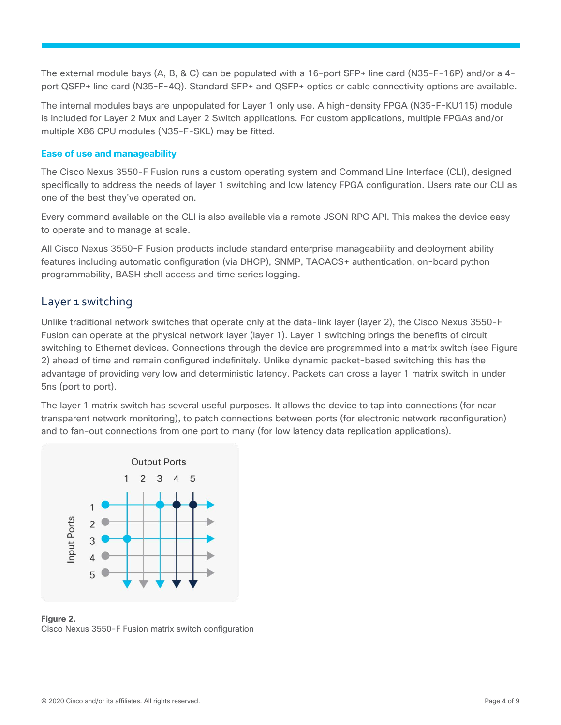The external module bays (A, B, & C) can be populated with a 16-port SFP+ line card (N35-F-16P) and/or a 4 port QSFP+ line card (N35-F-4Q). Standard SFP+ and QSFP+ optics or cable connectivity options are available.

The internal modules bays are unpopulated for Layer 1 only use. A high-density FPGA (N35-F-KU115) module is included for Layer 2 Mux and Layer 2 Switch applications. For custom applications, multiple FPGAs and/or multiple X86 CPU modules (N35-F-SKL) may be fitted.

#### **Ease of use and manageability**

The Cisco Nexus 3550-F Fusion runs a custom operating system and Command Line Interface (CLI), designed specifically to address the needs of layer 1 switching and low latency FPGA configuration. Users rate our CLI as one of the best they've operated on.

Every command available on the CLI is also available via a remote JSON RPC API. This makes the device easy to operate and to manage at scale.

All Cisco Nexus 3550-F Fusion products include standard enterprise manageability and deployment ability features including automatic configuration (via DHCP), SNMP, TACACS+ authentication, on-board python programmability, BASH shell access and time series logging.

#### <span id="page-3-0"></span>Layer 1 switching

Unlike traditional network switches that operate only at the data-link layer (layer 2), the Cisco Nexus 3550-F Fusion can operate at the physical network layer (layer 1). Layer 1 switching brings the benefits of circuit switching to Ethernet devices. Connections through the device are programmed into a matrix switch (see Figure 2) ahead of time and remain configured indefinitely. Unlike dynamic packet-based switching this has the advantage of providing very low and deterministic latency. Packets can cross a layer 1 matrix switch in under 5ns (port to port).

The layer 1 matrix switch has several useful purposes. It allows the device to tap into connections (for near transparent network monitoring), to patch connections between ports (for electronic network reconfiguration) and to fan-out connections from one port to many (for low latency data replication applications).



**Figure 2.**  Cisco Nexus 3550-F Fusion matrix switch configuration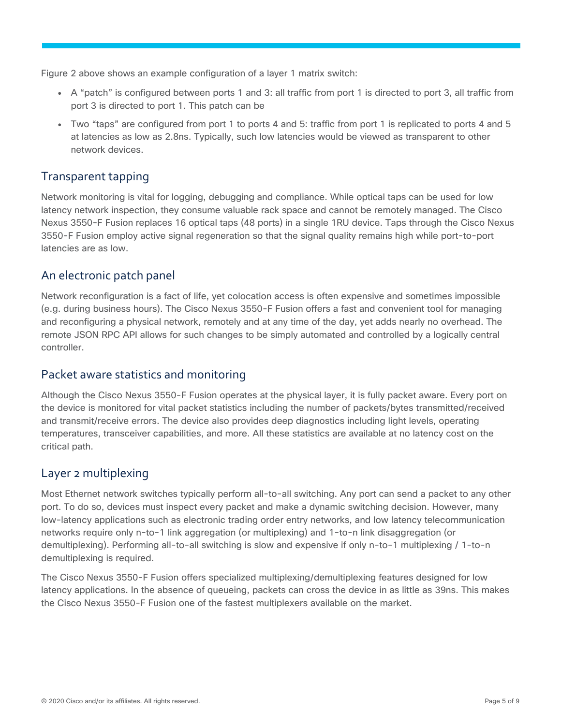Figure 2 above shows an example configuration of a layer 1 matrix switch:

- A "patch" is configured between ports 1 and 3: all traffic from port 1 is directed to port 3, all traffic from port 3 is directed to port 1. This patch can be
- Two "taps" are configured from port 1 to ports 4 and 5: traffic from port 1 is replicated to ports 4 and 5 at latencies as low as 2.8ns. Typically, such low latencies would be viewed as transparent to other network devices.

## <span id="page-4-0"></span>Transparent tapping

Network monitoring is vital for logging, debugging and compliance. While optical taps can be used for low latency network inspection, they consume valuable rack space and cannot be remotely managed. The Cisco Nexus 3550-F Fusion replaces 16 optical taps (48 ports) in a single 1RU device. Taps through the Cisco Nexus 3550-F Fusion employ active signal regeneration so that the signal quality remains high while port-to-port latencies are as low.

## <span id="page-4-1"></span>An electronic patch panel

Network reconfiguration is a fact of life, yet colocation access is often expensive and sometimes impossible (e.g. during business hours). The Cisco Nexus 3550-F Fusion offers a fast and convenient tool for managing and reconfiguring a physical network, remotely and at any time of the day, yet adds nearly no overhead. The remote JSON RPC API allows for such changes to be simply automated and controlled by a logically central controller.

## <span id="page-4-2"></span>Packet aware statistics and monitoring

Although the Cisco Nexus 3550-F Fusion operates at the physical layer, it is fully packet aware. Every port on the device is monitored for vital packet statistics including the number of packets/bytes transmitted/received and transmit/receive errors. The device also provides deep diagnostics including light levels, operating temperatures, transceiver capabilities, and more. All these statistics are available at no latency cost on the critical path.

## <span id="page-4-3"></span>Layer 2 multiplexing

Most Ethernet network switches typically perform all-to-all switching. Any port can send a packet to any other port. To do so, devices must inspect every packet and make a dynamic switching decision. However, many low-latency applications such as electronic trading order entry networks, and low latency telecommunication networks require only n-to-1 link aggregation (or multiplexing) and 1-to-n link disaggregation (or demultiplexing). Performing all-to-all switching is slow and expensive if only n-to-1 multiplexing / 1-to-n demultiplexing is required.

The Cisco Nexus 3550-F Fusion offers specialized multiplexing/demultiplexing features designed for low latency applications. In the absence of queueing, packets can cross the device in as little as 39ns. This makes the Cisco Nexus 3550-F Fusion one of the fastest multiplexers available on the market.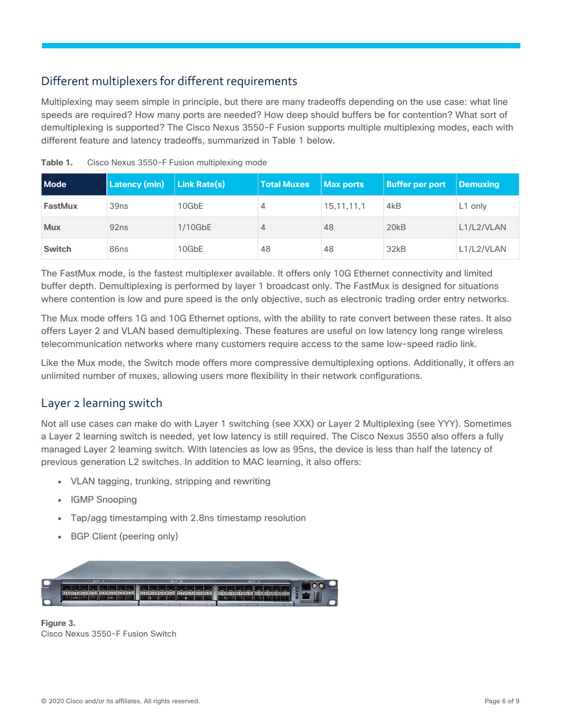## <span id="page-5-0"></span>Different multiplexers for different requirements

Multiplexing may seem simple in principle, but there are many tradeoffs depending on the use case: what line speeds are required? How many ports are needed? How deep should buffers be for contention? What sort of demultiplexing is supported? The Cisco Nexus 3550-F Fusion supports multiple multiplexing modes, each with different feature and latency tradeoffs, summarized in Table 1 below.

| <b>Mode</b>    | <b>Latency (min)</b> | <b>Link Rate(s)</b> | <b>Total Muxes</b> | Max ports     | <b>Buffer per port</b> | <b>Demuxing</b>     |
|----------------|----------------------|---------------------|--------------------|---------------|------------------------|---------------------|
| <b>FastMux</b> | 39 <sub>ns</sub>     | 10GbE               | 4                  | 15, 11, 11, 1 | 4 <sub>k</sub> B       | L <sub>1</sub> only |
| <b>Mux</b>     | 92 <sub>ns</sub>     | $1/10$ GbE          | 4                  | 48            | 20 <sub>k</sub> B      | L1/L2/VLAN          |
| <b>Switch</b>  | 86ns                 | 10GbE               | 48                 | 48            | 32kB                   | L1/L2/VLAN          |

**Table 1.** Cisco Nexus 3550-F Fusion multiplexing mode

The FastMux mode, is the fastest multiplexer available. It offers only 10G Ethernet connectivity and limited buffer depth. Demultiplexing is performed by layer 1 broadcast only. The FastMux is designed for situations where contention is low and pure speed is the only objective, such as electronic trading order entry networks.

The Mux mode offers 1G and 10G Ethernet options, with the ability to rate convert between these rates. It also offers Layer 2 and VLAN based demultiplexing. These features are useful on low latency long range wireless telecommunication networks where many customers require access to the same low-speed radio link.

Like the Mux mode, the Switch mode offers more compressive demultiplexing options. Additionally, it offers an unlimited number of muxes, allowing users more flexibility in their network configurations.

## <span id="page-5-1"></span>Layer 2 learning switch

Not all use cases can make do with Layer 1 switching (see XXX) or Layer 2 Multiplexing (see YYY). Sometimes a Layer 2 learning switch is needed, yet low latency is still required. The Cisco Nexus 3550 also offers a fully managed Layer 2 learning switch. With latencies as low as 95ns, the device is less than half the latency of previous generation L2 switches. In addition to MAC learning, it also offers:

- VLAN tagging, trunking, stripping and rewriting
- IGMP Snooping
- Tap/agg timestamping with 2.8ns timestamp resolution
- BGP Client (peering only)



**Figure 3.**  Cisco Nexus 3550-F Fusion Switch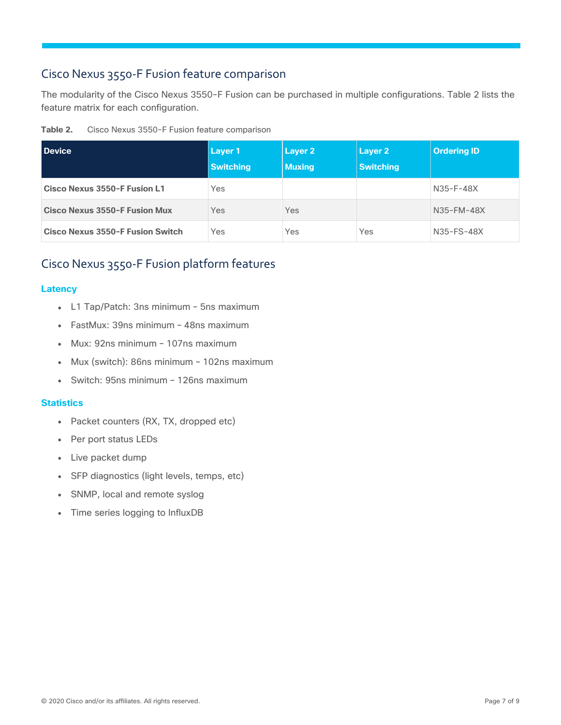## <span id="page-6-0"></span>Cisco Nexus 3550-F Fusion feature comparison

The modularity of the Cisco Nexus 3550-F Fusion can be purchased in multiple configurations. Table 2 lists the feature matrix for each configuration.

| Table 2. | Cisco Nexus 3550-F Fusion feature comparison |  |  |
|----------|----------------------------------------------|--|--|
|          |                                              |  |  |

| <b>Device</b>                           | Layer 1<br><b>Switching</b> | Layer 2<br><b>Muxing</b> | Layer 2<br><b>Switching</b> | <b>Ordering ID</b> |
|-----------------------------------------|-----------------------------|--------------------------|-----------------------------|--------------------|
| Cisco Nexus 3550-F Fusion L1            | Yes                         |                          |                             | N35-F-48X          |
| <b>Cisco Nexus 3550-F Fusion Mux</b>    | Yes                         | Yes                      |                             | N35-FM-48X         |
| <b>Cisco Nexus 3550-F Fusion Switch</b> | Yes                         | Yes                      | Yes                         | N35-FS-48X         |

## <span id="page-6-1"></span>Cisco Nexus 3550-F Fusion platform features

#### **Latency**

- L1 Tap/Patch: 3ns minimum 5ns maximum
- FastMux: 39ns minimum 48ns maximum
- Mux: 92ns minimum 107ns maximum
- Mux (switch): 86ns minimum 102ns maximum
- Switch: 95ns minimum 126ns maximum

#### **Statistics**

- Packet counters (RX, TX, dropped etc)
- Per port status LEDs
- Live packet dump
- SFP diagnostics (light levels, temps, etc)
- SNMP, local and remote syslog
- Time series logging to InfluxDB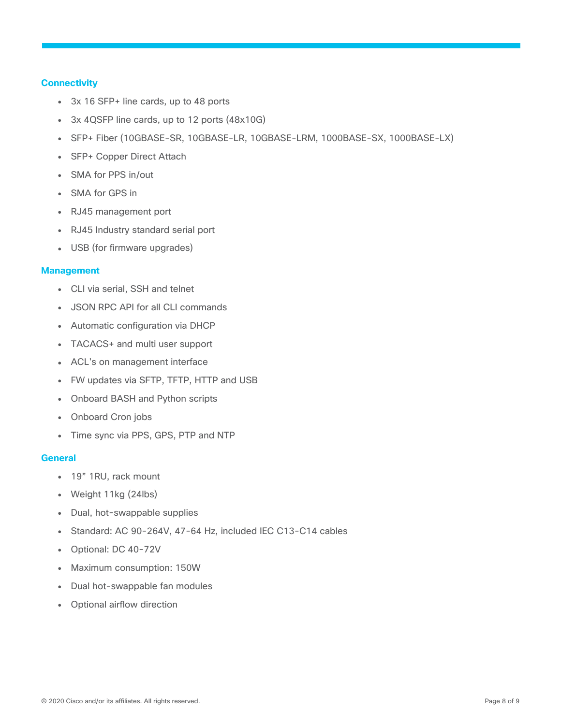#### **Connectivity**

- 3x 16 SFP+ line cards, up to 48 ports
- 3x 4QSFP line cards, up to 12 ports (48x10G)
- SFP+ Fiber (10GBASE-SR, 10GBASE-LR, 10GBASE-LRM, 1000BASE-SX, 1000BASE-LX)
- SFP+ Copper Direct Attach
- SMA for PPS in/out
- SMA for GPS in
- RJ45 management port
- RJ45 Industry standard serial port
- USB (for firmware upgrades)

#### **Management**

- CLI via serial, SSH and telnet
- JSON RPC API for all CLI commands
- Automatic configuration via DHCP
- TACACS+ and multi user support
- ACL's on management interface
- FW updates via SFTP, TFTP, HTTP and USB
- Onboard BASH and Python scripts
- Onboard Cron jobs
- Time sync via PPS, GPS, PTP and NTP

#### **General**

- 19" 1RU, rack mount
- Weight  $11kg$  (24lbs)
- Dual, hot-swappable supplies
- Standard: AC 90-264V, 47-64 Hz, included IEC C13-C14 cables
- Optional: DC 40-72V
- Maximum consumption: 150W
- Dual hot-swappable fan modules
- Optional airflow direction